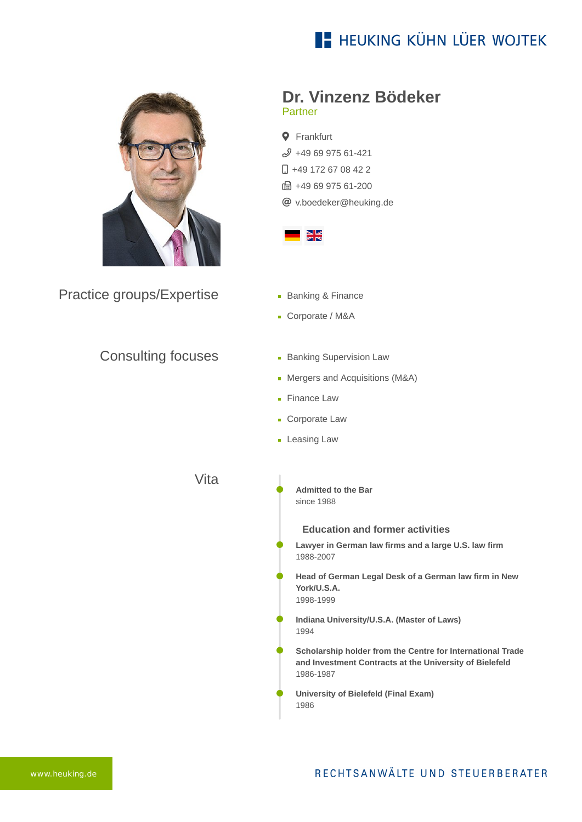# **E- HEUKING KÜHN LÜER WOJTEK**



Practice groups/Expertise

## Consulting focuses

- **Dr. Vinzenz Bödeker** Partner
- **Q** Frankfurt  $$496997561-421$  $\Box$  [+49 172 67 08 42 2](tel:+491726708422) **fm** +49 69 975 61-200 [v.boedeker@heuking.de](mailto:v.boedeker@heuking.de?subject=Contact%20via%20website%20heuking.de)



- **Banking & Finance**
- Corporate / M&A
- **Banking Supervision Law**
- Mergers and Acquisitions (M&A)
- **Finance Law**
- **Corporate Law**
- **Leasing Law**

Vita

**Admitted to the Bar** since 1988

### **Education and former activities**

**Lawyer in German law firms and a large U.S. law firm** 1988-2007

**Head of German Legal Desk of a German law firm in New York/U.S.A.** 1998-1999

- **Indiana University/U.S.A. (Master of Laws)** 1994
- **Scholarship holder from the Centre for International Trade and Investment Contracts at the University of Bielefeld** 1986-1987
- **University of Bielefeld (Final Exam)** 1986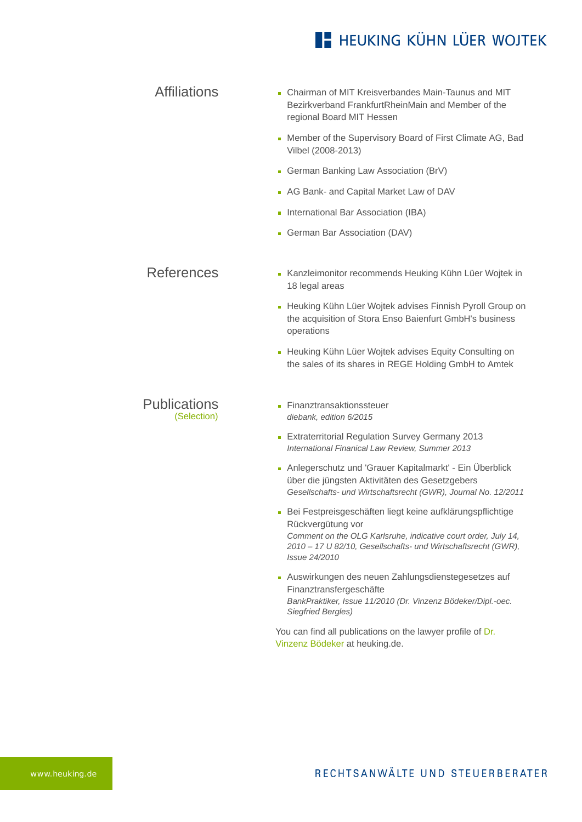## **E- HEUKING KÜHN LÜER WOJTEK**

- Affiliations **Chairman of MIT Kreisverbandes Main-Taunus and MIT** Bezirkverband FrankfurtRheinMain and Member of the regional Board MIT Hessen
	- Member of the Supervisory Board of First Climate AG, Bad Vilbel (2008-2013)
	- German Banking Law Association (BrV)
	- **AG Bank- and Capital Market Law of DAV**
	- **International Bar Association (IBA)**
	- German Bar Association (DAV)

#### References [Kanzleimonitor recommends Heuking Kühn Lüer Wojtek in](https://www.heuking.de/en/lawyers/detail/pdf-download.html?lawyer=11&cHash=18519a2435cf7eb12bb6c1455e1cf3c2) 18 legal areas

- **[Heuking Kühn Lüer Wojtek advises Finnish Pyroll Group on](https://www.heuking.de/en/lawyers/detail/pdf-download.html?lawyer=11&cHash=18519a2435cf7eb12bb6c1455e1cf3c2)** the acquisition of Stora Enso Baienfurt GmbH's business operations
- **[Heuking Kühn Lüer Wojtek advises Equity Consulting on](https://www.heuking.de/en/lawyers/detail/pdf-download.html?lawyer=11&cHash=18519a2435cf7eb12bb6c1455e1cf3c2)** the sales of its shares in REGE Holding GmbH to Amtek

#### **Publications** (Selection)

- **Finanztransaktionssteuer** *diebank, edition 6/2015*
- **Extraterritorial Regulation Survey Germany 2013** *International Finanical Law Review, Summer 2013*
- Anlegerschutz und 'Grauer Kapitalmarkt' Ein Überblick über die jüngsten Aktivitäten des Gesetzgebers *Gesellschafts- und Wirtschaftsrecht (GWR), Journal No. 12/2011*
- Bei Festpreisgeschäften liegt keine aufklärungspflichtige Rückvergütung vor *Comment on the OLG Karlsruhe, indicative court order, July 14, 2010 – 17 U 82/10, Gesellschafts- und Wirtschaftsrecht (GWR), Issue 24/2010*
- Auswirkungen des neuen Zahlungsdienstegesetzes auf Finanztransfergeschäfte *BankPraktiker, Issue 11/2010 (Dr. Vinzenz Bödeker/Dipl.-oec. Siegfried Bergles)*

[You can find all publications on the lawyer profile of Dr.](https://www.heuking.de/en/lawyers/detail/dr-vinzenz-boedeker.html) Vinzenz Bödeker at heuking.de.